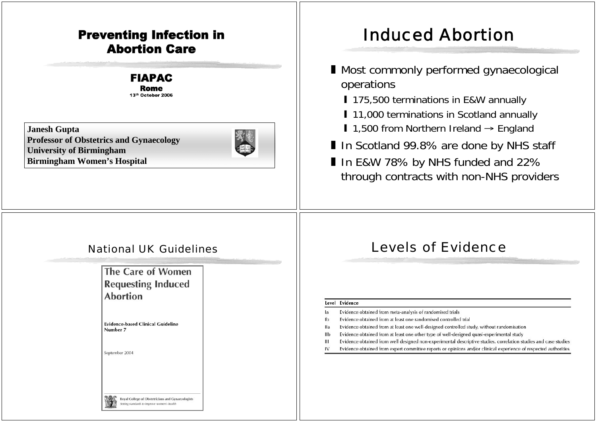#### Preventing Infection in Abortion Care

#### FIAPAC Rome 13th October 2006

**Janesh Gupta Professor of Obstetrics and Gynaecology University of Birmingham Birmingham Women's Hospital**



# Induced Abortion

- Most commonly performed gynaecological operations
	- **175,500 terminations in E&W annually**
	- **11,000 terminations in Scotland annually**
	- 1,500 from Northern Ireland  $\rightarrow$  England
- In Scotland 99.8% are done by NHS staff
- $\blacksquare$  In E&W 78% by NHS funded and 22% through contracts with non-NHS providers

The Care of Women **Requesting Induced Abortion** 

**Evidence-based Clinical Guideline** Number 7

> Royal College of Obstetricians and Gynaecologists etting standards to improve women's health

September 2004

#### National UK Guidelines **Levels of Evidence**

#### Level Evidence

- $\overline{a}$ Evidence obtained from meta-analysis of randomised trials
- Evidence obtained from at least one randomised controlled trial lb.
- **Ila** Evidence obtained from at least one well-designed controlled study, without randomisation
- IIb Evidence obtained from at least one other type of well-designed quasi-experimental study
- $\mathbf{H}$ Evidence obtained from well designed non-experimental descriptive studies, correlation studies and case studies
- Evidence obtained from expert committee reports or opinions and/or clinical experience of respected authorities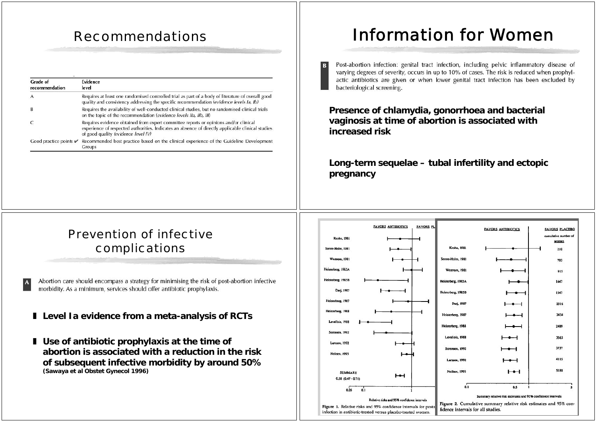| Grade of<br>recommendation        | <b>Evidence</b><br>level                                                                                                                                                                                                         |
|-----------------------------------|----------------------------------------------------------------------------------------------------------------------------------------------------------------------------------------------------------------------------------|
|                                   | Requires at least one randomised controlled trial as part of a body of literature of overall good<br>quality and consistency addressing the specific recommendation (evidence levels Ia, Ib)                                     |
| В                                 | Requires the availability of well-conducted clinical studies, but no randomised clinical trials<br>on the topic of the recommendation (evidence levels IIa, IIb, III)                                                            |
|                                   | Requires evidence obtained from expert committee reports or opinions and/or clinical<br>experience of respected authorities. Indicates an absence of directly applicable clinical studies<br>of good quality (evidence level IV) |
| Good practice points $\mathcal V$ | Recommended best practice based on the clinical experience of the Guideline Development<br>Groups                                                                                                                                |

# Recommendations Information for Women

Post-abortion infection: genital tract infection, including pelvic inflammatory disease of varying degrees of severity, occurs in up to 10% of cases. The risk is reduced when prophylactic antibiotics are given or when lower genital tract infection has been excluded by bacteriological screening.

**Presence of chlamydia, gonorrhoea and bacterial vaginosis at time of abortion is associated with increased risk**

B

**Long-term sequelae – tubal infertility and ectopic pregnancy**

#### Prevention of infective complications

Abortion care should encompass a strategy for minimising the risk of post-abortion infective morbidity. As a minimum, services should offer antibiotic prophylaxis.

- **Level Ia evidence from a meta-analysis of RCTs**
- **Use of antibiotic prophylaxis at the time of abortion is associated with a reduction in the risk of subsequent infective morbidity by around 50% (Sawaya et al Obstet Gynecol 1996)**

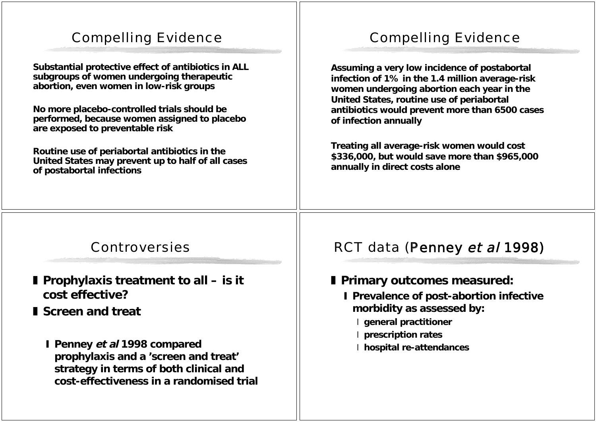## Compelling Evidence

**Substantial protective effect of antibiotics in ALL subgroups of women undergoing therapeutic abortion, even women in low-risk groups**

**No more placebo-controlled trials should be performed, because women assigned to placebo are exposed to preventable risk**

**Routine use of periabortal antibiotics in the United States may prevent up to half of all cases of postabortal infections**

### Compelling Evidence

**Assuming a very low incidence of postabortal infection of 1% in the 1.4 million average-risk women undergoing abortion each year in the United States, routine use of periabortal antibiotics would prevent more than 6500 cases of infection annually**

**Treating all average-risk women would cost \$336,000, but would save more than \$965,000 annually in direct costs alone**

#### Controversies

- **Prophylaxis treatment to all is it cost effective?**
- **I** Screen and treat
	- **Penney et al 1998 compared prophylaxis and a 'screen and treat' strategy in terms of both clinical and cost-effectiveness in a randomised trial**

#### RCT data (Penney et al 1998)

- **Primary outcomes measured:**
	- **I** Prevalence of post-abortion infective **morbidity as assessed by:**
		- **general practitioner**
		- **prescription rates**
		- **hospital re-attendances**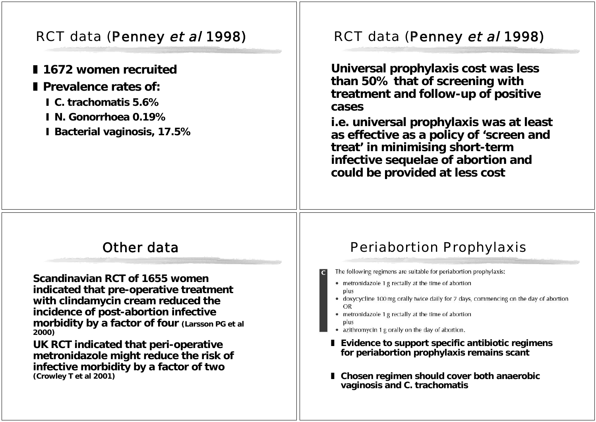## RCT data (Penney et al 1998)

- **l** 1672 women recruited
- **I** Prevalence rates of:
	- **C. trachomatis 5.6%**
	- **N. Gonorrhoea 0.19%**
	- **Bacterial vaginosis, 17.5%**

### RCT data (Penney et al 1998)

**Universal prophylaxis cost was less than 50% that of screening with treatment and follow-up of positive cases**

**i.e. universal prophylaxis was at least as effective as a policy of 'screen and treat' in minimising short-term infective sequelae of abortion and could be provided at less cost**

#### Other data

**Scandinavian RCT of 1655 women indicated that pre-operative treatment with clindamycin cream reduced the incidence of post-abortion infective morbidity by a factor of four (Larsson PG et al 2000)**

**UK RCT indicated that peri-operative metronidazole might reduce the risk of infective morbidity by a factor of two (Crowley T et al 2001)**

#### Periabortion Prophylaxis

- The following regimens are suitable for periabortion prophylaxis:
- metronidazole 1 g rectally at the time of abortion plus
- doxycycline 100 mg orally twice daily for 7 days, commencing on the day of abortion OR
- metronidazole 1 g rectally at the time of abortion
- azithromycin 1 g orally on the day of abortion.
- **Evidence to support specific antibiotic regimens for periabortion prophylaxis remains scant**
- **Chosen regimen should cover both anaerobic vaginosis and C. trachomatis**